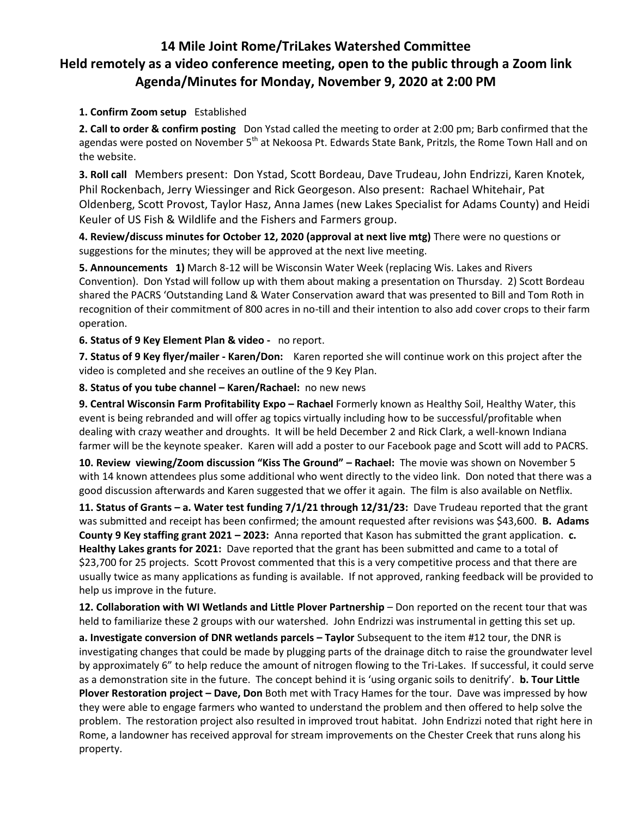## **14 Mile Joint Rome/TriLakes Watershed Committee Held remotely as a video conference meeting, open to the public through a Zoom link Agenda/Minutes for Monday, November 9, 2020 at 2:00 PM**

## **1. Confirm Zoom setup** Established

**2. Call to order & confirm posting** Don Ystad called the meeting to order at 2:00 pm; Barb confirmed that the agendas were posted on November 5<sup>th</sup> at Nekoosa Pt. Edwards State Bank, Pritzls, the Rome Town Hall and on the website.

**3. Roll call** Members present: Don Ystad, Scott Bordeau, Dave Trudeau, John Endrizzi, Karen Knotek, Phil Rockenbach, Jerry Wiessinger and Rick Georgeson. Also present: Rachael Whitehair, Pat Oldenberg, Scott Provost, Taylor Hasz, Anna James (new Lakes Specialist for Adams County) and Heidi Keuler of US Fish & Wildlife and the Fishers and Farmers group.

**4. Review/discuss minutes for October 12, 2020 (approval at next live mtg)** There were no questions or suggestions for the minutes; they will be approved at the next live meeting.

**5. Announcements 1)** March 8-12 will be Wisconsin Water Week (replacing Wis. Lakes and Rivers Convention). Don Ystad will follow up with them about making a presentation on Thursday. 2) Scott Bordeau shared the PACRS 'Outstanding Land & Water Conservation award that was presented to Bill and Tom Roth in recognition of their commitment of 800 acres in no-till and their intention to also add cover crops to their farm operation.

**6. Status of 9 Key Element Plan & video -** no report.

**7. Status of 9 Key flyer/mailer - Karen/Don:** Karen reported she will continue work on this project after the video is completed and she receives an outline of the 9 Key Plan.

**8. Status of you tube channel – Karen/Rachael:** no new news

**9. Central Wisconsin Farm Profitability Expo – Rachael** Formerly known as Healthy Soil, Healthy Water, this event is being rebranded and will offer ag topics virtually including how to be successful/profitable when dealing with crazy weather and droughts. It will be held December 2 and Rick Clark, a well-known Indiana farmer will be the keynote speaker. Karen will add a poster to our Facebook page and Scott will add to PACRS.

**10. Review viewing/Zoom discussion "Kiss The Ground" – Rachael:** The movie was shown on November 5 with 14 known attendees plus some additional who went directly to the video link. Don noted that there was a good discussion afterwards and Karen suggested that we offer it again. The film is also available on Netflix.

**11. Status of Grants – a. Water test funding 7/1/21 through 12/31/23:** Dave Trudeau reported that the grant was submitted and receipt has been confirmed; the amount requested after revisions was \$43,600. **B. Adams County 9 Key staffing grant 2021 – 2023:** Anna reported that Kason has submitted the grant application. **c. Healthy Lakes grants for 2021:** Dave reported that the grant has been submitted and came to a total of \$23,700 for 25 projects. Scott Provost commented that this is a very competitive process and that there are usually twice as many applications as funding is available. If not approved, ranking feedback will be provided to help us improve in the future.

**12. Collaboration with WI Wetlands and Little Plover Partnership** – Don reported on the recent tour that was held to familiarize these 2 groups with our watershed. John Endrizzi was instrumental in getting this set up.

**a. Investigate conversion of DNR wetlands parcels – Taylor** Subsequent to the item #12 tour, the DNR is investigating changes that could be made by plugging parts of the drainage ditch to raise the groundwater level by approximately 6" to help reduce the amount of nitrogen flowing to the Tri-Lakes. If successful, it could serve as a demonstration site in the future. The concept behind it is 'using organic soils to denitrify'. **b. Tour Little Plover Restoration project – Dave, Don** Both met with Tracy Hames for the tour. Dave was impressed by how they were able to engage farmers who wanted to understand the problem and then offered to help solve the problem. The restoration project also resulted in improved trout habitat. John Endrizzi noted that right here in Rome, a landowner has received approval for stream improvements on the Chester Creek that runs along his property.